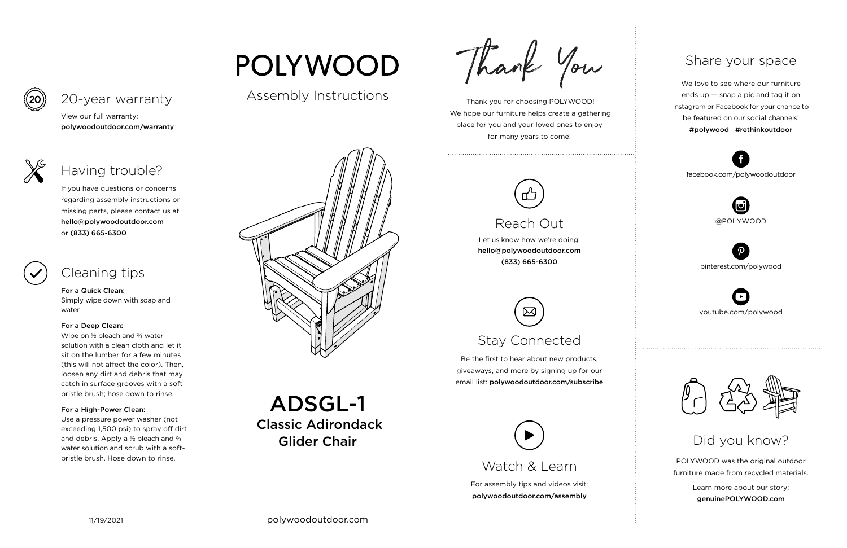For assembly tips and videos visit: polywoodoutdoor.com/assembly

 Thank you for choosing POLYWOOD! We hope our furniture helps create a gathering place for you and your loved ones to enjoy for many years to come!



Let us know how we're doing: hello@polywoodoutdoor.com (833) 665-6300

Be the first to hear about new products, giveaways, and more by signing up for our email list: polywoodoutdoor.com/subscribe



POLYWOOD was the original outdoor furniture made from recycled materials.

> Learn more about our story: genuinePOLYWOOD.com

We love to see where our furniture ends up — snap a pic and tag it on Instagram or Facebook for your chance to be featured on our social channels! #polywood #rethinkoutdoor



youtube.com/polywood



pinterest.com/polywood



facebook.com/polywoodoutdoor





Watch & Learn

# Reach Out

# Stay Connected

## Share your space

Did you know?

View our full warranty: polywoodoutdoor.com/warranty

For a Quick Clean:

Simply wipe down with soap and water.

## For a Deep Clean:

Wipe on ⅓ bleach and ⅔ water solution with a clean cloth and let it sit on the lumber for a few minutes (this will not affect the color). Then, loosen any dirt and debris that may catch in surface grooves with a soft bristle brush; hose down to rinse.

## For a High-Power Clean:

Use a pressure power washer (not exceeding 1,500 psi) to spray off dirt and debris. Apply a ⅓ bleach and ⅔ water solution and scrub with a softbristle brush. Hose down to rinse.

# POLYWOOD

If you have questions or concerns regarding assembly instructions or missing parts, please contact us at hello@polywoodoutdoor.com or (833) 665-6300

## 20-year warranty

# Having trouble?

# Cleaning tips

Assembly Instructions



ADSGL-1 Classic Adirondack Glider Chair

Thank You